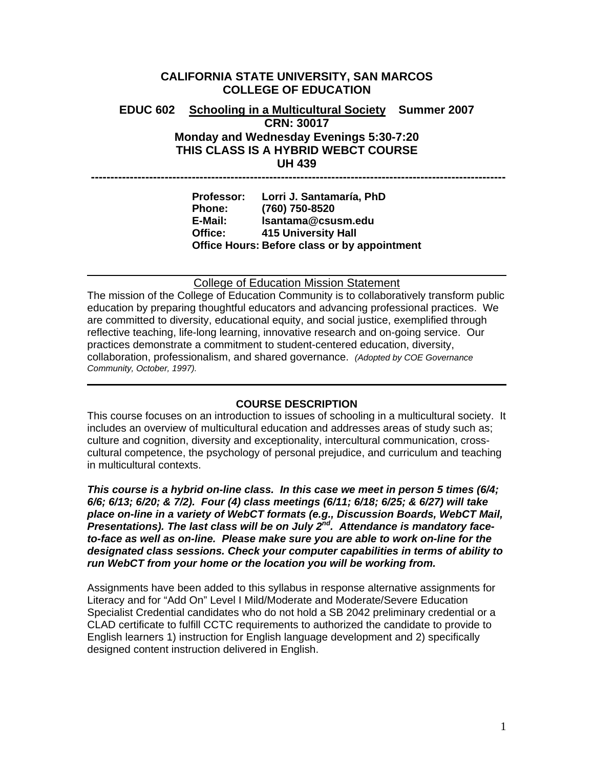# **CALIFORNIA STATE UNIVERSITY, SAN MARCOS COLLEGE OF EDUCATION EDUC 602 Schooling in a Multicultural Society Summer 2007 CRN: 30017 Monday and Wednesday Evenings 5:30-7:20**

**THIS CLASS IS A HYBRID WEBCT COURSE UH 439** 

 **-----------------------------------------------------------------------------------------------------------** 

**Professor: Lorri J. Santamaría, PhD Phone: (760) 750-8520 E-Mail: lsantama@csusm.edu Office: 415 University Hall Office Hours: Before class or by appointment** 

#### College of Education Mission Statement

The mission of the College of Education Community is to collaboratively transform public education by preparing thoughtful educators and advancing professional practices. We are committed to diversity, educational equity, and social justice, exemplified through reflective teaching, life-long learning, innovative research and on-going service. Our practices demonstrate a commitment to student-centered education, diversity, collaboration, professionalism, and shared governance. *(Adopted by COE Governance Community, October, 1997).* 

#### **COURSE DESCRIPTION**

This course focuses on an introduction to issues of schooling in a multicultural society. It includes an overview of multicultural education and addresses areas of study such as; culture and cognition, diversity and exceptionality, intercultural communication, crosscultural competence, the psychology of personal prejudice, and curriculum and teaching in multicultural contexts.

*This course is a hybrid on-line class. In this case we meet in person 5 times (6/4; 6/6; 6/13; 6/20; & 7/2). Four (4) class meetings (6/11; 6/18; 6/25; & 6/27) will take place on-line in a variety of WebCT formats (e.g., Discussion Boards, WebCT Mail,*  Presentations). The last class will be on July 2<sup>nd</sup>. Attendance is mandatory face*to-face as well as on-line. Please make sure you are able to work on-line for the designated class sessions. Check your computer capabilities in terms of ability to run WebCT from your home or the location you will be working from.* 

Assignments have been added to this syllabus in response alternative assignments for Literacy and for "Add On" Level I Mild/Moderate and Moderate/Severe Education Specialist Credential candidates who do not hold a SB 2042 preliminary credential or a CLAD certificate to fulfill CCTC requirements to authorized the candidate to provide to English learners 1) instruction for English language development and 2) specifically designed content instruction delivered in English.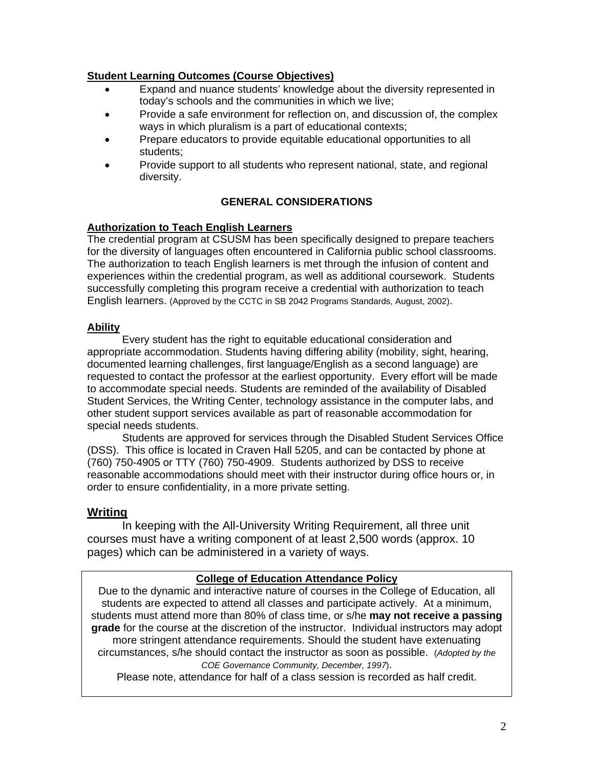## **Student Learning Outcomes (Course Objectives)**

- Expand and nuance students' knowledge about the diversity represented in today's schools and the communities in which we live;
- Provide a safe environment for reflection on, and discussion of, the complex ways in which pluralism is a part of educational contexts;
- Prepare educators to provide equitable educational opportunities to all students;
- Provide support to all students who represent national, state, and regional diversity.

## **GENERAL CONSIDERATIONS**

## **Authorization to Teach English Learners**

The credential program at CSUSM has been specifically designed to prepare teachers for the diversity of languages often encountered in California public school classrooms. The authorization to teach English learners is met through the infusion of content and experiences within the credential program, as well as additional coursework. Students successfully completing this program receive a credential with authorization to teach English learners. (Approved by the CCTC in SB 2042 Programs Standards, August, 2002).

## **Ability**

Every student has the right to equitable educational consideration and appropriate accommodation. Students having differing ability (mobility, sight, hearing, documented learning challenges, first language/English as a second language) are requested to contact the professor at the earliest opportunity. Every effort will be made to accommodate special needs. Students are reminded of the availability of Disabled Student Services, the Writing Center, technology assistance in the computer labs, and other student support services available as part of reasonable accommodation for special needs students.

Students are approved for services through the Disabled Student Services Office (DSS). This office is located in Craven Hall 5205, and can be contacted by phone at (760) 750-4905 or TTY (760) 750-4909. Students authorized by DSS to receive reasonable accommodations should meet with their instructor during office hours or, in order to ensure confidentiality, in a more private setting.

## **Writing**

In keeping with the All-University Writing Requirement, all three unit courses must have a writing component of at least 2,500 words (approx. 10 pages) which can be administered in a variety of ways.

## **College of Education Attendance Policy**

Due to the dynamic and interactive nature of courses in the College of Education, all students are expected to attend all classes and participate actively. At a minimum, students must attend more than 80% of class time, or s/he **may not receive a passing grade** for the course at the discretion of the instructor. Individual instructors may adopt more stringent attendance requirements. Should the student have extenuating circumstances, s/he should contact the instructor as soon as possible. (*Adopted by the COE Governance Community, December, 1997*).

Please note, attendance for half of a class session is recorded as half credit.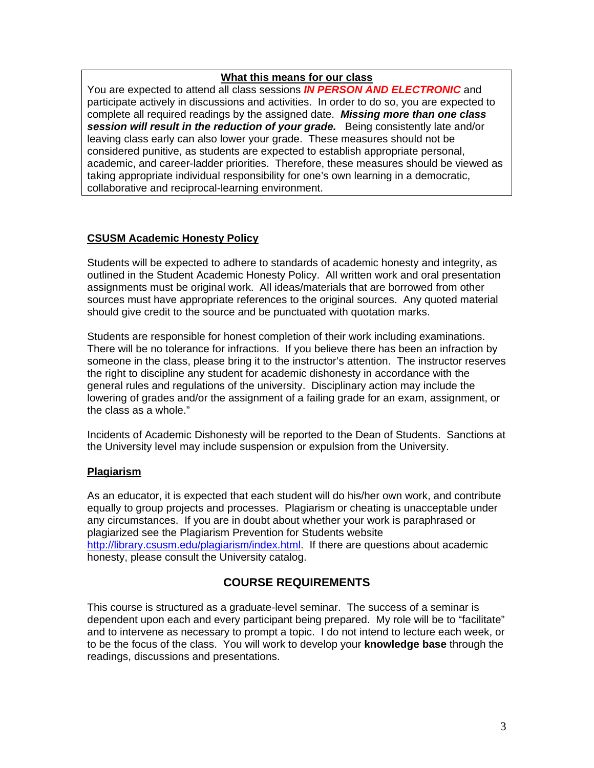## **What this means for our class**

You are expected to attend all class sessions *IN PERSON AND ELECTRONIC* and participate actively in discussions and activities. In order to do so, you are expected to complete all required readings by the assigned date. *Missing more than one class session will result in the reduction of your grade.* Being consistently late and/or leaving class early can also lower your grade. These measures should not be considered punitive, as students are expected to establish appropriate personal, academic, and career-ladder priorities. Therefore, these measures should be viewed as taking appropriate individual responsibility for one's own learning in a democratic, collaborative and reciprocal-learning environment.

## **CSUSM Academic Honesty Policy**

Students will be expected to adhere to standards of academic honesty and integrity, as outlined in the Student Academic Honesty Policy. All written work and oral presentation assignments must be original work. All ideas/materials that are borrowed from other sources must have appropriate references to the original sources. Any quoted material should give credit to the source and be punctuated with quotation marks.

Students are responsible for honest completion of their work including examinations. There will be no tolerance for infractions. If you believe there has been an infraction by someone in the class, please bring it to the instructor's attention. The instructor reserves the right to discipline any student for academic dishonesty in accordance with the general rules and regulations of the university. Disciplinary action may include the lowering of grades and/or the assignment of a failing grade for an exam, assignment, or the class as a whole."

Incidents of Academic Dishonesty will be reported to the Dean of Students. Sanctions at the University level may include suspension or expulsion from the University.

## **Plagiarism**

As an educator, it is expected that each student will do his/her own work, and contribute equally to group projects and processes. Plagiarism or cheating is unacceptable under any circumstances. If you are in doubt about whether your work is paraphrased or plagiarized see the Plagiarism Prevention for Students website http://library.csusm.edu/plagiarism/index.html. If there are questions about academic honesty, please consult the University catalog.

## **COURSE REQUIREMENTS**

This course is structured as a graduate-level seminar. The success of a seminar is dependent upon each and every participant being prepared. My role will be to "facilitate" and to intervene as necessary to prompt a topic. I do not intend to lecture each week, or to be the focus of the class. You will work to develop your **knowledge base** through the readings, discussions and presentations.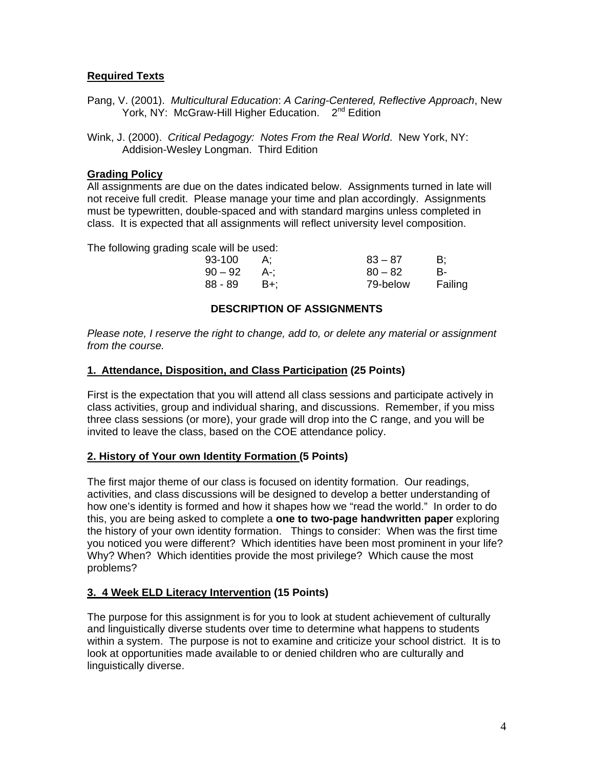## **Required Texts**

- Pang, V. (2001). *Multicultural Education*: *A Caring-Centered, Reflective Approach*, New York, NY: McGraw-Hill Higher Education. 2<sup>nd</sup> Edition
- Wink, J. (2000). *Critical Pedagogy: Notes From the Real World*. New York, NY: Addision-Wesley Longman. Third Edition

## **Grading Policy**

All assignments are due on the dates indicated below. Assignments turned in late will not receive full credit. Please manage your time and plan accordingly. Assignments must be typewritten, double-spaced and with standard margins unless completed in class. It is expected that all assignments will reflect university level composition.

The following grading scale will be used:

| 93-100  |     | $83 - 87$ | В:      |
|---------|-----|-----------|---------|
| 90 – 92 | A-: | $80 - 82$ | в-      |
| 88 - 89 | B+: | 79-below  | Failing |

## **DESCRIPTION OF ASSIGNMENTS**

*Please note, I reserve the right to change, add to, or delete any material or assignment from the course.* 

## **1. Attendance, Disposition, and Class Participation (25 Points)**

First is the expectation that you will attend all class sessions and participate actively in class activities, group and individual sharing, and discussions. Remember, if you miss three class sessions (or more), your grade will drop into the C range, and you will be invited to leave the class, based on the COE attendance policy.

## **2. History of Your own Identity Formation (5 Points)**

The first major theme of our class is focused on identity formation. Our readings, activities, and class discussions will be designed to develop a better understanding of how one's identity is formed and how it shapes how we "read the world." In order to do this, you are being asked to complete a **one to two-page handwritten paper** exploring the history of your own identity formation. Things to consider: When was the first time you noticed you were different? Which identities have been most prominent in your life? Why? When? Which identities provide the most privilege? Which cause the most problems?

## **3. 4 Week ELD Literacy Intervention (15 Points)**

The purpose for this assignment is for you to look at student achievement of culturally and linguistically diverse students over time to determine what happens to students within a system. The purpose is not to examine and criticize your school district. It is to look at opportunities made available to or denied children who are culturally and linguistically diverse.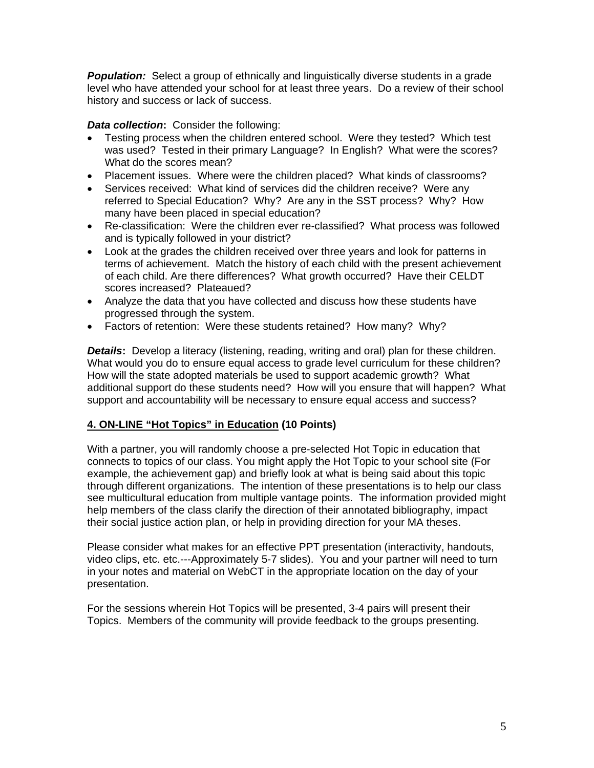**Population:** Select a group of ethnically and linguistically diverse students in a grade level who have attended your school for at least three years. Do a review of their school history and success or lack of success.

## *Data collection***:** Consider the following:

- Testing process when the children entered school. Were they tested? Which test was used? Tested in their primary Language? In English? What were the scores? What do the scores mean?
- Placement issues. Where were the children placed? What kinds of classrooms?
- Services received: What kind of services did the children receive? Were any referred to Special Education? Why? Are any in the SST process? Why? How many have been placed in special education?
- Re-classification: Were the children ever re-classified? What process was followed and is typically followed in your district?
- Look at the grades the children received over three years and look for patterns in terms of achievement. Match the history of each child with the present achievement of each child. Are there differences? What growth occurred? Have their CELDT scores increased? Plateaued?
- Analyze the data that you have collected and discuss how these students have progressed through the system.
- Factors of retention: Were these students retained? How many? Why?

**Details:** Develop a literacy (listening, reading, writing and oral) plan for these children. What would you do to ensure equal access to grade level curriculum for these children? How will the state adopted materials be used to support academic growth? What additional support do these students need? How will you ensure that will happen? What support and accountability will be necessary to ensure equal access and success?

## **4. ON-LINE "Hot Topics" in Education (10 Points)**

With a partner, you will randomly choose a pre-selected Hot Topic in education that connects to topics of our class. You might apply the Hot Topic to your school site (For example, the achievement gap) and briefly look at what is being said about this topic through different organizations. The intention of these presentations is to help our class see multicultural education from multiple vantage points. The information provided might help members of the class clarify the direction of their annotated bibliography, impact their social justice action plan, or help in providing direction for your MA theses.

Please consider what makes for an effective PPT presentation (interactivity, handouts, video clips, etc. etc.---Approximately 5-7 slides). You and your partner will need to turn in your notes and material on WebCT in the appropriate location on the day of your presentation.

For the sessions wherein Hot Topics will be presented, 3-4 pairs will present their Topics. Members of the community will provide feedback to the groups presenting.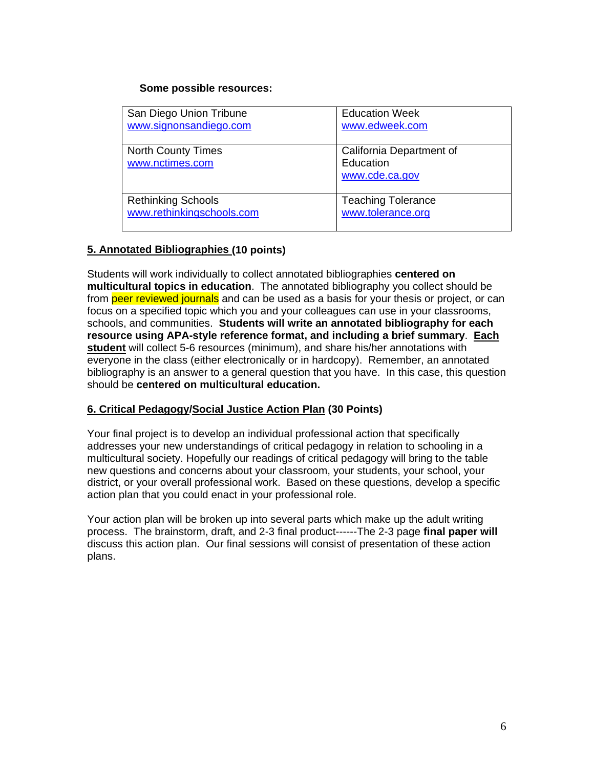#### **Some possible resources:**

| San Diego Union Tribune                      | <b>Education Week</b>                                   |
|----------------------------------------------|---------------------------------------------------------|
| www.signonsandiego.com                       | www.edweek.com                                          |
| <b>North County Times</b><br>www.nctimes.com | California Department of<br>Education<br>www.cde.ca.gov |
| <b>Rethinking Schools</b>                    | <b>Teaching Tolerance</b>                               |
| www.rethinkingschools.com                    | www.tolerance.org                                       |

## **5. Annotated Bibliographies (10 points)**

Students will work individually to collect annotated bibliographies **centered on multicultural topics in education**. The annotated bibliography you collect should be from peer reviewed journals and can be used as a basis for your thesis or project, or can focus on a specified topic which you and your colleagues can use in your classrooms, schools, and communities. **Students will write an annotated bibliography for each resource using APA-style reference format, and including a brief summary**. **Each student** will collect 5-6 resources (minimum), and share his/her annotations with everyone in the class (either electronically or in hardcopy). Remember, an annotated bibliography is an answer to a general question that you have. In this case, this question should be **centered on multicultural education.** 

## **6. Critical Pedagogy/Social Justice Action Plan (30 Points)**

Your final project is to develop an individual professional action that specifically addresses your new understandings of critical pedagogy in relation to schooling in a multicultural society. Hopefully our readings of critical pedagogy will bring to the table new questions and concerns about your classroom, your students, your school, your district, or your overall professional work. Based on these questions, develop a specific action plan that you could enact in your professional role.

Your action plan will be broken up into several parts which make up the adult writing process. The brainstorm, draft, and 2-3 final product------The 2-3 page **final paper will** discuss this action plan. Our final sessions will consist of presentation of these action plans.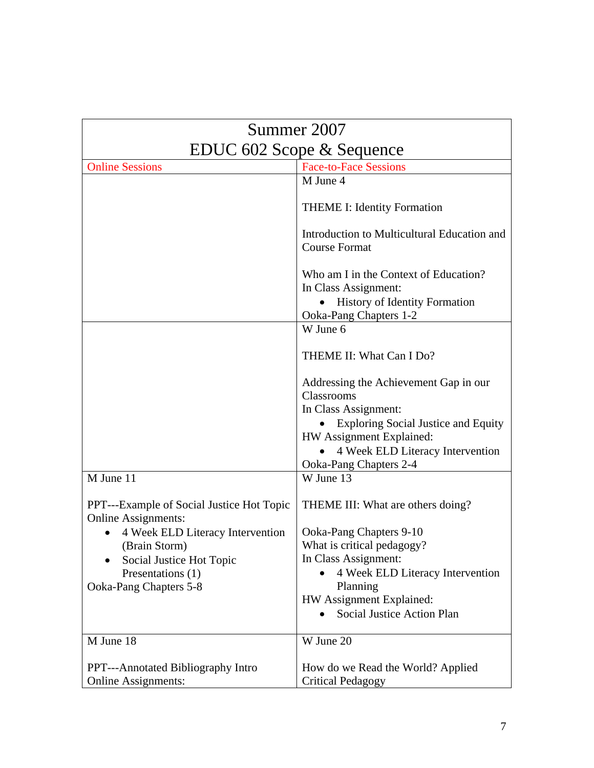| Summer 2007                                                             |                                                            |  |  |
|-------------------------------------------------------------------------|------------------------------------------------------------|--|--|
| EDUC 602 Scope & Sequence                                               |                                                            |  |  |
| <b>Online Sessions</b>                                                  | <b>Face-to-Face Sessions</b>                               |  |  |
|                                                                         | M June 4                                                   |  |  |
|                                                                         | <b>THEME I: Identity Formation</b>                         |  |  |
|                                                                         |                                                            |  |  |
|                                                                         | Introduction to Multicultural Education and                |  |  |
|                                                                         | <b>Course Format</b>                                       |  |  |
|                                                                         | Who am I in the Context of Education?                      |  |  |
|                                                                         | In Class Assignment:                                       |  |  |
|                                                                         | <b>History of Identity Formation</b>                       |  |  |
|                                                                         | Ooka-Pang Chapters 1-2                                     |  |  |
|                                                                         | W June 6                                                   |  |  |
|                                                                         | THEME II: What Can I Do?                                   |  |  |
|                                                                         | Addressing the Achievement Gap in our                      |  |  |
|                                                                         | Classrooms                                                 |  |  |
|                                                                         | In Class Assignment:                                       |  |  |
|                                                                         | • Exploring Social Justice and Equity                      |  |  |
|                                                                         | HW Assignment Explained:                                   |  |  |
|                                                                         | 4 Week ELD Literacy Intervention<br>Ooka-Pang Chapters 2-4 |  |  |
| M June 11                                                               | W June 13                                                  |  |  |
|                                                                         |                                                            |  |  |
| PPT---Example of Social Justice Hot Topic<br><b>Online Assignments:</b> | THEME III: What are others doing?                          |  |  |
| 4 Week ELD Literacy Intervention                                        | Ooka-Pang Chapters 9-10                                    |  |  |
| (Brain Storm)                                                           | What is critical pedagogy?                                 |  |  |
| Social Justice Hot Topic                                                | In Class Assignment:                                       |  |  |
| Presentations (1)                                                       | 4 Week ELD Literacy Intervention                           |  |  |
| Ooka-Pang Chapters 5-8                                                  | Planning<br>HW Assignment Explained:                       |  |  |
|                                                                         | Social Justice Action Plan                                 |  |  |
|                                                                         |                                                            |  |  |
| M June 18                                                               | W June 20                                                  |  |  |
| PPT---Annotated Bibliography Intro                                      | How do we Read the World? Applied                          |  |  |
| <b>Online Assignments:</b>                                              | <b>Critical Pedagogy</b>                                   |  |  |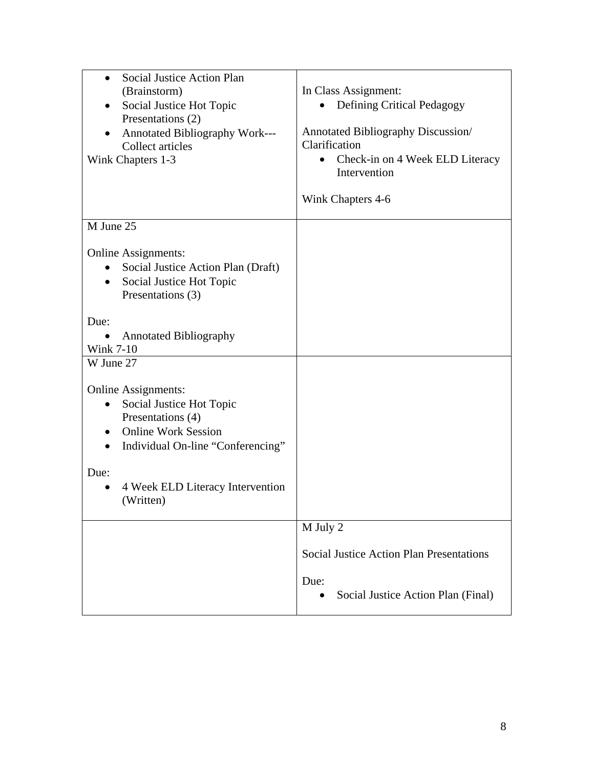| Social Justice Action Plan<br>$\bullet$<br>(Brainstorm)<br>Social Justice Hot Topic<br>Presentations (2)<br><b>Annotated Bibliography Work---</b><br>Collect articles<br>Wink Chapters 1-3 | In Class Assignment:<br>Defining Critical Pedagogy<br>Annotated Bibliography Discussion/<br>Clarification<br>Check-in on 4 Week ELD Literacy<br>$\bullet$<br>Intervention<br>Wink Chapters 4-6 |
|--------------------------------------------------------------------------------------------------------------------------------------------------------------------------------------------|------------------------------------------------------------------------------------------------------------------------------------------------------------------------------------------------|
| M June 25                                                                                                                                                                                  |                                                                                                                                                                                                |
| <b>Online Assignments:</b><br>Social Justice Action Plan (Draft)<br>$\bullet$<br>Social Justice Hot Topic<br>$\bullet$<br>Presentations (3)                                                |                                                                                                                                                                                                |
| Due:                                                                                                                                                                                       |                                                                                                                                                                                                |
| <b>Annotated Bibliography</b>                                                                                                                                                              |                                                                                                                                                                                                |
| <b>Wink 7-10</b>                                                                                                                                                                           |                                                                                                                                                                                                |
| W June 27                                                                                                                                                                                  |                                                                                                                                                                                                |
| <b>Online Assignments:</b><br>Social Justice Hot Topic<br>$\bullet$<br>Presentations (4)<br><b>Online Work Session</b><br>$\bullet$<br>Individual On-line "Conferencing"<br>$\bullet$      |                                                                                                                                                                                                |
| Due:<br>4 Week ELD Literacy Intervention<br>(Written)                                                                                                                                      |                                                                                                                                                                                                |
|                                                                                                                                                                                            | M July 2                                                                                                                                                                                       |
|                                                                                                                                                                                            | Social Justice Action Plan Presentations                                                                                                                                                       |
|                                                                                                                                                                                            | Due:<br>Social Justice Action Plan (Final)                                                                                                                                                     |